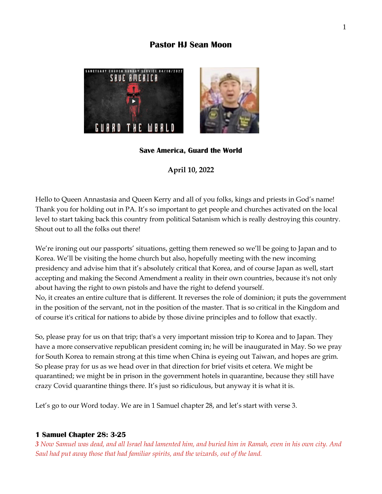# **Pastor HJ Sean Moon**



## **Save America, Guard the World**

**April 10, 2022** 

Hello to Queen Annastasia and Queen Kerry and all of you folks, kings and priests in God's name! Thank you for holding out in PA. It's so important to get people and churches activated on the local level to start taking back this country from political Satanism which is really destroying this country. Shout out to all the folks out there!

We're ironing out our passports' situations, getting them renewed so we'll be going to Japan and to Korea. We'll be visiting the home church but also, hopefully meeting with the new incoming presidency and advise him that it's absolutely critical that Korea, and of course Japan as well, start accepting and making the Second Amendment a reality in their own countries, because it's not only about having the right to own pistols and have the right to defend yourself. No, it creates an entire culture that is different. It reverses the role of dominion; it puts the government in the position of the servant, not in the position of the master. That is so critical in the Kingdom and of course it's critical for nations to abide by those divine principles and to follow that exactly.

So, please pray for us on that trip; that's a very important mission trip to Korea and to Japan. They have a more conservative republican president coming in; he will be inaugurated in May. So we pray for South Korea to remain strong at this time when China is eyeing out Taiwan, and hopes are grim. So please pray for us as we head over in that direction for brief visits et cetera. We might be quarantined; we might be in prison in the government hotels in quarantine, because they still have crazy Covid quarantine things there. It's just so ridiculous, but anyway it is what it is.

Let's go to our Word today. We are in 1 Samuel chapter 28, and let's start with verse 3.

#### **1 Samuel Chapter 28: 3-25**

*3 Now Samuel was dead, and all Israel had lamented him, and buried him in Ramah, even in his own city. And Saul had put away those that had familiar spirits, and the wizards, out of the land.*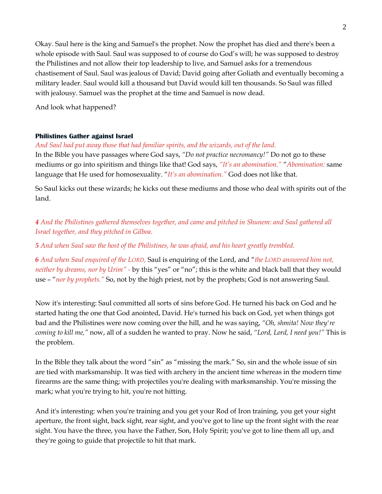Okay. Saul here is the king and Samuel's the prophet. Now the prophet has died and there's been a whole episode with Saul. Saul was supposed to of course do God's will; he was supposed to destroy the Philistines and not allow their top leadership to live, and Samuel asks for a tremendous chastisement of Saul. Saul was jealous of David; David going after Goliath and eventually becoming a military leader. Saul would kill a thousand but David would kill ten thousands. So Saul was filled with jealousy. Samuel was the prophet at the time and Samuel is now dead.

And look what happened?

## **Philistines Gather against Israel**

*And Saul had put away those that had familiar spirits, and the wizards, out of the land.* 

In the Bible you have passages where God says, *"Do not practice necromancy!"* Do not go to these mediums or go into spiritism and things like that! God says, *"It's an abomination."* "*Abomination:* same language that He used for homosexuality. "*It's an abomination."* God does not like that.

So Saul kicks out these wizards; he kicks out these mediums and those who deal with spirits out of the land.

*4 And the Philistines gathered themselves together, and came and pitched in Shunem: and Saul gathered all Israel together, and they pitched in Gilboa.*

*5 And when Saul saw the host of the Philistines, he was afraid, and his heart greatly trembled.*

*6 And when Saul enquired of the LORD,* Saul is enquiring of the Lord, and "*the LORD answered him not, neither by dreams, nor by Urim" -* by this "yes" or "no"; this is the white and black ball that they would use – "*nor by prophets."* So, not by the high priest, not by the prophets; God is not answering Saul.

Now it's interesting: Saul committed all sorts of sins before God. He turned his back on God and he started hating the one that God anointed, David. He's turned his back on God, yet when things got bad and the Philistines were now coming over the hill, and he was saying, *"Oh, shmita! Now they're coming to kill me,"* now, all of a sudden he wanted to pray. Now he said, *"Lord, Lord, I need you!"* This is the problem.

In the Bible they talk about the word "sin" as "missing the mark." So, sin and the whole issue of sin are tied with marksmanship. It was tied with archery in the ancient time whereas in the modern time firearms are the same thing; with projectiles you're dealing with marksmanship. You're missing the mark; what you're trying to hit, you're not hitting.

And it's interesting: when you're training and you get your Rod of Iron training, you get your sight aperture, the front sight, back sight, rear sight, and you've got to line up the front sight with the rear sight. You have the three, you have the Father, Son, Holy Spirit; you've got to line them all up, and they're going to guide that projectile to hit that mark.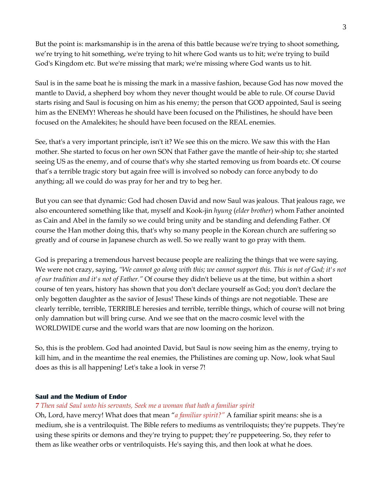But the point is: marksmanship is in the arena of this battle because we're trying to shoot something, we're trying to hit something, we're trying to hit where God wants us to hit; we're trying to build God's Kingdom etc. But we're missing that mark; we're missing where God wants us to hit.

Saul is in the same boat he is missing the mark in a massive fashion, because God has now moved the mantle to David, a shepherd boy whom they never thought would be able to rule. Of course David starts rising and Saul is focusing on him as his enemy; the person that GOD appointed, Saul is seeing him as the ENEMY! Whereas he should have been focused on the Philistines, he should have been focused on the Amalekites; he should have been focused on the REAL enemies.

See, that's a very important principle, isn't it? We see this on the micro. We saw this with the Han mother. She started to focus on her own SON that Father gave the mantle of heir-ship to; she started seeing US as the enemy, and of course that's why she started removing us from boards etc. Of course that's a terrible tragic story but again free will is involved so nobody can force anybody to do anything; all we could do was pray for her and try to beg her.

But you can see that dynamic: God had chosen David and now Saul was jealous. That jealous rage, we also encountered something like that, myself and Kook-jin *hyung* (*elder brother*) whom Father anointed as Cain and Abel in the family so we could bring unity and be standing and defending Father. Of course the Han mother doing this, that's why so many people in the Korean church are suffering so greatly and of course in Japanese church as well. So we really want to go pray with them.

God is preparing a tremendous harvest because people are realizing the things that we were saying. We were not crazy, saying, *"We cannot go along with this; we cannot support this. This is not of God; it's not of our tradition and it's not of Father."* Of course they didn't believe us at the time, but within a short course of ten years, history has shown that you don't declare yourself as God; you don't declare the only begotten daughter as the savior of Jesus! These kinds of things are not negotiable. These are clearly terrible, terrible, TERRIBLE heresies and terrible, terrible things, which of course will not bring only damnation but will bring curse. And we see that on the macro cosmic level with the WORLDWIDE curse and the world wars that are now looming on the horizon.

So, this is the problem. God had anointed David, but Saul is now seeing him as the enemy, trying to kill him, and in the meantime the real enemies, the Philistines are coming up. Now, look what Saul does as this is all happening! Let's take a look in verse 7!

## **Saul and the Medium of Endor**

## *7 Then said Saul unto his servants, Seek me a woman that hath a familiar spirit*

Oh, Lord, have mercy! What does that mean "*a familiar spirit?"* A familiar spirit means: she is a medium, she is a ventriloquist. The Bible refers to mediums as ventriloquists; they're puppets. They're using these spirits or demons and they're trying to puppet; they're puppeteering. So, they refer to them as like weather orbs or ventriloquists. He's saying this, and then look at what he does.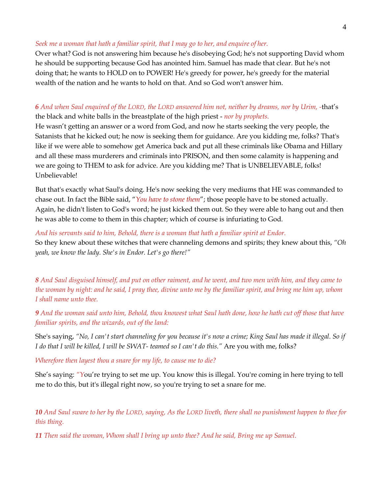## *Seek me a woman that hath a familiar spirit, that I may go to her, and enquire of her.*

Over what? God is not answering him because he's disobeying God; he's not supporting David whom he should be supporting because God has anointed him. Samuel has made that clear. But he's not doing that; he wants to HOLD on to POWER! He's greedy for power, he's greedy for the material wealth of the nation and he wants to hold on that. And so God won't answer him.

## *6 And when Saul enquired of the LORD, the LORD answered him not, neither by dreams, nor by Urim, -*that's the black and white balls in the breastplate of the high priest - *nor by prophets.*

He wasn't getting an answer or a word from God, and now he starts seeking the very people, the Satanists that he kicked out; he now is seeking them for guidance. Are you kidding me, folks? That's like if we were able to somehow get America back and put all these criminals like Obama and Hillary and all these mass murderers and criminals into PRISON, and then some calamity is happening and we are going to THEM to ask for advice. Are you kidding me? That is UNBELIEVABLE, folks! Unbelievable!

But that's exactly what Saul's doing. He's now seeking the very mediums that HE was commanded to chase out. In fact the Bible said, "*You have to stone them*"; those people have to be stoned actually. Again, he didn't listen to God's word; he just kicked them out. So they were able to hang out and then he was able to come to them in this chapter; which of course is infuriating to God.

*And his servants said to him, Behold, there is a woman that hath a familiar spirit at Endor.*

So they knew about these witches that were channeling demons and spirits; they knew about this, *"Oh yeah, we know the lady. She's in Endor. Let's go there!"*

*8 And Saul disguised himself, and put on other raiment, and he went, and two men with him, and they came to the woman by night: and he said, I pray thee, divine unto me by the familiar spirit, and bring me him up, whom I shall name unto thee.*

*9 And the woman said unto him, Behold, thou knowest what Saul hath done, how he hath cut off those that have familiar spirits, and the wizards, out of the land:* 

She's saying, *"No, I can't start channeling for you because it's now a crime; King Saul has made it illegal. So if I do that I will be killed, I will be SWAT- teamed so I can't do this."* Are you with me, folks?

*Wherefore then layest thou a snare for my life, to cause me to die?*

She's saying: *"Y*ou're trying to set me up. You know this is illegal. You're coming in here trying to tell me to do this, but it's illegal right now, so you're trying to set a snare for me.

*10 And Saul sware to her by the LORD, saying, As the LORD liveth, there shall no punishment happen to thee for this thing.*

*11 Then said the woman, Whom shall I bring up unto thee? And he said, Bring me up Samuel.*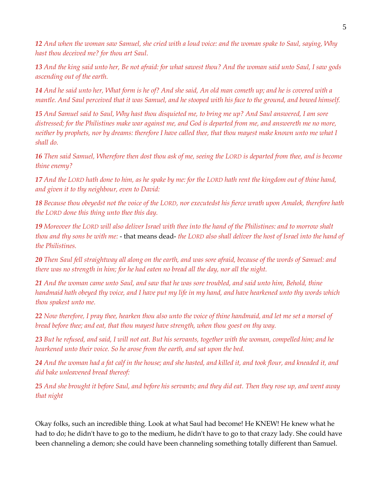*12 And when the woman saw Samuel, she cried with a loud voice: and the woman spake to Saul, saying, Why hast thou deceived me? for thou art Saul.*

*13 And the king said unto her, Be not afraid: for what sawest thou? And the woman said unto Saul, I saw gods ascending out of the earth.*

*14 And he said unto her, What form is he of? And she said, An old man cometh up; and he is covered with a mantle. And Saul perceived that it was Samuel, and he stooped with his face to the ground, and bowed himself.*

*15 And Samuel said to Saul, Why hast thou disquieted me, to bring me up? And Saul answered, I am sore distressed; for the Philistines make war against me, and God is departed from me, and answereth me no more, neither by prophets, nor by dreams: therefore I have called thee, that thou mayest make known unto me what I shall do.*

*16 Then said Samuel, Wherefore then dost thou ask of me, seeing the LORD is departed from thee, and is become thine enemy?*

*17 And the LORD hath done to him, as he spake by me: for the LORD hath rent the kingdom out of thine hand, and given it to thy neighbour, even to David:*

*18 Because thou obeyedst not the voice of the LORD, nor executedst his fierce wrath upon Amalek, therefore hath the LORD done this thing unto thee this day.*

*19 Moreover the LORD will also deliver Israel with thee into the hand of the Philistines: and to morrow shalt thou and thy sons be with me:* - that means dead- *the LORD also shall deliver the host of Israel into the hand of the Philistines.*

*20 Then Saul fell straightway all along on the earth, and was sore afraid, because of the words of Samuel: and there was no strength in him; for he had eaten no bread all the day, nor all the night.*

*21 And the woman came unto Saul, and saw that he was sore troubled, and said unto him, Behold, thine handmaid hath obeyed thy voice, and I have put my life in my hand, and have hearkened unto thy words which thou spakest unto me.*

*22 Now therefore, I pray thee, hearken thou also unto the voice of thine handmaid, and let me set a morsel of bread before thee; and eat, that thou mayest have strength, when thou goest on thy way.*

*23 But he refused, and said, I will not eat. But his servants, together with the woman, compelled him; and he hearkened unto their voice. So he arose from the earth, and sat upon the bed.*

*24 And the woman had a fat calf in the house; and she hasted, and killed it, and took flour, and kneaded it, and did bake unleavened bread thereof:*

*25 And she brought it before Saul, and before his servants; and they did eat. Then they rose up, and went away that night* 

Okay folks, such an incredible thing. Look at what Saul had become! He KNEW! He knew what he had to do; he didn't have to go to the medium, he didn't have to go to that crazy lady. She could have been channeling a demon; she could have been channeling something totally different than Samuel.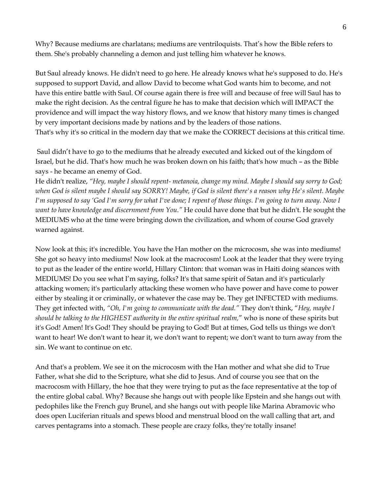Why? Because mediums are charlatans; mediums are ventriloquists. That's how the Bible refers to them. She's probably channeling a demon and just telling him whatever he knows.

But Saul already knows. He didn't need to go here. He already knows what he's supposed to do. He's supposed to support David, and allow David to become what God wants him to become, and not have this entire battle with Saul. Of course again there is free will and because of free will Saul has to make the right decision. As the central figure he has to make that decision which will IMPACT the providence and will impact the way history flows, and we know that history many times is changed by very important decisions made by nations and by the leaders of those nations. That's why it's so critical in the modern day that we make the CORRECT decisions at this critical time.

 Saul didn't have to go to the mediums that he already executed and kicked out of the kingdom of Israel, but he did. That's how much he was broken down on his faith; that's how much – as the Bible says - he became an enemy of God.

He didn't realize, *"Hey, maybe I should repent- metanoia, change my mind. Maybe I should say sorry to God; when God is silent maybe I should say SORRY! Maybe, if God is silent there's a reason why He's silent. Maybe I'm supposed to say 'God I'm sorry for what I've done; I repent of those things. I'm going to turn away. Now I want to have knowledge and discernment from You."* He could have done that but he didn't. He sought the MEDIUMS who at the time were bringing down the civilization, and whom of course God gravely warned against.

Now look at this; it's incredible. You have the Han mother on the microcosm, she was into mediums! She got so heavy into mediums! Now look at the macrocosm! Look at the leader that they were trying to put as the leader of the entire world, Hillary Clinton: that woman was in Haiti doing séances with MEDIUMS! Do you see what I'm saying, folks? It's that same spirit of Satan and it's particularly attacking women; it's particularly attacking these women who have power and have come to power either by stealing it or criminally, or whatever the case may be. They get INFECTED with mediums. They get infected with, *"Oh, I'm going to communicate with the dead."* They don't think, "*Hey, maybe I should be talking to the HIGHEST authority in the entire spiritual realm,*" who is none of these spirits but it's God! Amen! It's God! They should be praying to God! But at times, God tells us things we don't want to hear! We don't want to hear it, we don't want to repent; we don't want to turn away from the sin. We want to continue on etc.

And that's a problem. We see it on the microcosm with the Han mother and what she did to True Father, what she did to the Scripture, what she did to Jesus. And of course you see that on the macrocosm with Hillary, the hoe that they were trying to put as the face representative at the top of the entire global cabal. Why? Because she hangs out with people like Epstein and she hangs out with pedophiles like the French guy Brunel, and she hangs out with people like Marina Abramovic who does open Luciferian rituals and spews blood and menstrual blood on the wall calling that art, and carves pentagrams into a stomach. These people are crazy folks, they're totally insane!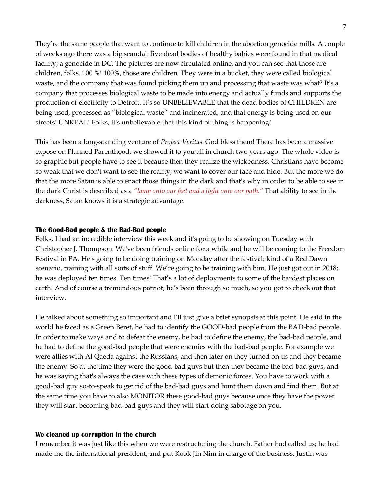They're the same people that want to continue to kill children in the abortion genocide mills. A couple of weeks ago there was a big scandal: five dead bodies of healthy babies were found in that medical facility; a genocide in DC. The pictures are now circulated online, and you can see that those are children, folks. 100 %! 100%, those are children. They were in a bucket, they were called biological waste, and the company that was found picking them up and processing that waste was what? It's a company that processes biological waste to be made into energy and actually funds and supports the production of electricity to Detroit. It's so UNBELIEVABLE that the dead bodies of CHILDREN are being used, processed as "biological waste" and incinerated, and that energy is being used on our streets! UNREAL! Folks, it's unbelievable that this kind of thing is happening!

This has been a long-standing venture of *Project Veritas.* God bless them! There has been a massive expose on Planned Parenthood; we showed it to you all in church two years ago. The whole video is so graphic but people have to see it because then they realize the wickedness. Christians have become so weak that we don't want to see the reality; we want to cover our face and hide. But the more we do that the more Satan is able to enact those things in the dark and that's why in order to be able to see in the dark Christ is described as a *"lamp onto our feet and a light onto our path."* That ability to see in the darkness, Satan knows it is a strategic advantage.

#### **The Good-Bad people & the Bad-Bad people**

Folks, I had an incredible interview this week and it's going to be showing on Tuesday with Christopher J. Thompson. We've been friends online for a while and he will be coming to the Freedom Festival in PA. He's going to be doing training on Monday after the festival; kind of a Red Dawn scenario, training with all sorts of stuff. We're going to be training with him. He just got out in 2018; he was deployed ten times. Ten times! That's a lot of deployments to some of the hardest places on earth! And of course a tremendous patriot; he's been through so much, so you got to check out that interview.

He talked about something so important and I'll just give a brief synopsis at this point. He said in the world he faced as a Green Beret, he had to identify the GOOD-bad people from the BAD-bad people. In order to make ways and to defeat the enemy, he had to define the enemy, the bad-bad people, and he had to define the good-bad people that were enemies with the bad-bad people. For example we were allies with Al Qaeda against the Russians, and then later on they turned on us and they became the enemy. So at the time they were the good-bad guys but then they became the bad-bad guys, and he was saying that's always the case with these types of demonic forces. You have to work with a good-bad guy so-to-speak to get rid of the bad-bad guys and hunt them down and find them. But at the same time you have to also MONITOR these good-bad guys because once they have the power they will start becoming bad-bad guys and they will start doing sabotage on you.

#### **We cleaned up corruption in the church**

I remember it was just like this when we were restructuring the church. Father had called us; he had made me the international president, and put Kook Jin Nim in charge of the business. Justin was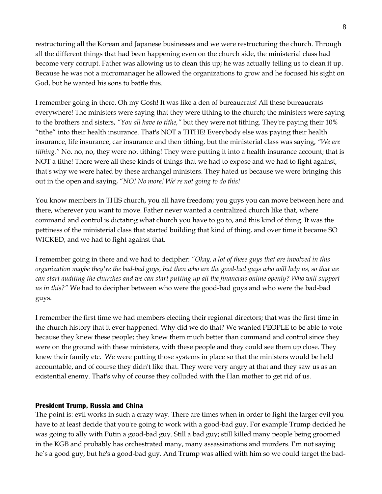restructuring all the Korean and Japanese businesses and we were restructuring the church. Through all the different things that had been happening even on the church side, the ministerial class had become very corrupt. Father was allowing us to clean this up; he was actually telling us to clean it up. Because he was not a micromanager he allowed the organizations to grow and he focused his sight on God, but he wanted his sons to battle this.

I remember going in there. Oh my Gosh! It was like a den of bureaucrats! All these bureaucrats everywhere! The ministers were saying that they were tithing to the church; the ministers were saying to the brothers and sisters, *"You all have to tithe,"* but they were not tithing. They're paying their 10% "tithe" into their health insurance. That's NOT a TITHE! Everybody else was paying their health insurance, life insurance, car insurance and then tithing, but the ministerial class was saying, *"We are tithing."* No. no, no, they were not tithing! They were putting it into a health insurance account; that is NOT a tithe! There were all these kinds of things that we had to expose and we had to fight against, that's why we were hated by these archangel ministers. They hated us because we were bringing this out in the open and saying, "*NO! No more! We're not going to do this!* 

You know members in THIS church, you all have freedom; you guys you can move between here and there, wherever you want to move. Father never wanted a centralized church like that, where command and control is dictating what church you have to go to, and this kind of thing. It was the pettiness of the ministerial class that started building that kind of thing, and over time it became SO WICKED, and we had to fight against that.

I remember going in there and we had to decipher: *"Okay, a lot of these guys that are involved in this organization maybe they're the bad-bad guys, but then who are the good-bad guys who will help us, so that we can start auditing the churches and we can start putting up all the financials online openly? Who will support us in this?"* We had to decipher between who were the good-bad guys and who were the bad-bad guys.

I remember the first time we had members electing their regional directors; that was the first time in the church history that it ever happened. Why did we do that? We wanted PEOPLE to be able to vote because they knew these people; they knew them much better than command and control since they were on the ground with these ministers, with these people and they could see them up close. They knew their family etc. We were putting those systems in place so that the ministers would be held accountable, and of course they didn't like that. They were very angry at that and they saw us as an existential enemy. That's why of course they colluded with the Han mother to get rid of us.

## **President Trump, Russia and China**

The point is: evil works in such a crazy way. There are times when in order to fight the larger evil you have to at least decide that you're going to work with a good-bad guy. For example Trump decided he was going to ally with Putin a good-bad guy. Still a bad guy; still killed many people being groomed in the KGB and probably has orchestrated many, many assassinations and murders. I'm not saying he's a good guy, but he's a good-bad guy. And Trump was allied with him so we could target the bad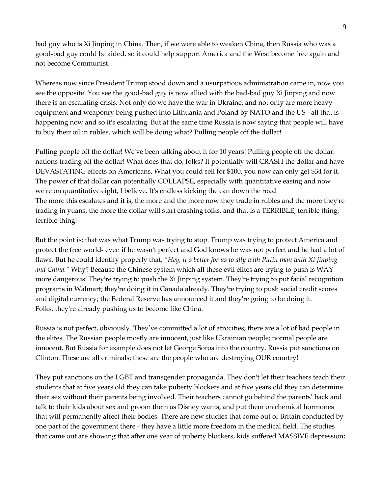bad guy who is Xi Jinping in China. Then, if we were able to weaken China, then Russia who was a good-bad guy could be aided, so it could help support America and the West become free again and not become Communist.

Whereas now since President Trump stood down and a usurpatious administration came in, now you see the opposite! You see the good-bad guy is now allied with the bad-bad guy Xi Jinping and now there is an escalating crisis. Not only do we have the war in Ukraine, and not only are more heavy equipment and weaponry being pushed into Lithuania and Poland by NATO and the US - all that is happening now and so it's escalating. But at the same time Russia is now saying that people will have to buy their oil in rubles, which will be doing what? Pulling people off the dollar!

Pulling people off the dollar! We've been talking about it for 10 years! Pulling people off the dollar: nations trading off the dollar! What does that do, folks? It potentially will CRASH the dollar and have DEVASTATING effects on Americans. What you could sell for \$100, you now can only get \$34 for it. The power of that dollar can potentially COLLAPSE, especially with quantitative easing and now we're on quantitative eight, I believe. It's endless kicking the can down the road. The more this escalates and it is, the more and the more now they trade in rubles and the more they're trading in yuans, the more the dollar will start crashing folks, and that is a TERRIBLE, terrible thing, terrible thing!

But the point is: that was what Trump was trying to stop. Trump was trying to protect America and protect the free world- even if he wasn't perfect and God knows he was not perfect and he had a lot of flaws. But he could identify properly that, *"Hey, it's better for us to ally with Putin than with Xi Jinping and China."* Why? Because the Chinese system which all these evil elites are trying to push is WAY more dangerous! They're trying to push the Xi Jinping system. They're trying to put facial recognition programs in Walmart; they're doing it in Canada already. They're trying to push social credit scores and digital currency; the Federal Reserve has announced it and they're going to be doing it. Folks, they're already pushing us to become like China.

Russia is not perfect, obviously. They've committed a lot of atrocities; there are a lot of bad people in the elites. The Russian people mostly are innocent, just like Ukrainian people; normal people are innocent. But Russia for example does not let George Soros into the country. Russia put sanctions on Clinton. These are all criminals; these are the people who are destroying OUR country!

They put sanctions on the LGBT and transgender propaganda. They don't let their teachers teach their students that at five years old they can take puberty blockers and at five years old they can determine their sex without their parents being involved. Their teachers cannot go behind the parents' back and talk to their kids about sex and groom them as Disney wants, and put them on chemical hormones that will permanently affect their bodies. There are new studies that come out of Britain conducted by one part of the government there - they have a little more freedom in the medical field. The studies that came out are showing that after one year of puberty blockers, kids suffered MASSIVE depression;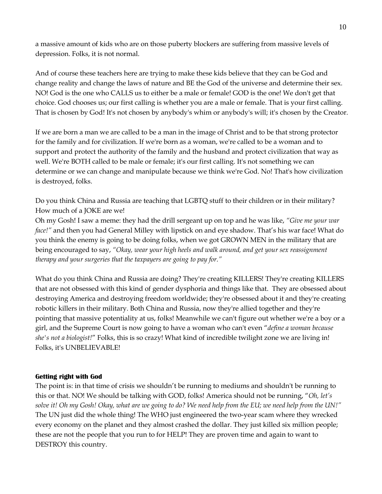a massive amount of kids who are on those puberty blockers are suffering from massive levels of depression. Folks, it is not normal.

And of course these teachers here are trying to make these kids believe that they can be God and change reality and change the laws of nature and BE the God of the universe and determine their sex. NO! God is the one who CALLS us to either be a male or female! GOD is the one! We don't get that choice. God chooses us; our first calling is whether you are a male or female. That is your first calling. That is chosen by God! It's not chosen by anybody's whim or anybody's will; it's chosen by the Creator.

If we are born a man we are called to be a man in the image of Christ and to be that strong protector for the family and for civilization. If we're born as a woman, we're called to be a woman and to support and protect the authority of the family and the husband and protect civilization that way as well. We're BOTH called to be male or female; it's our first calling. It's not something we can determine or we can change and manipulate because we think we're God. No! That's how civilization is destroyed, folks.

Do you think China and Russia are teaching that LGBTQ stuff to their children or in their military? How much of a JOKE are we!

Oh my Gosh! I saw a meme: they had the drill sergeant up on top and he was like, *"Give me your war face!"* and then you had General Milley with lipstick on and eye shadow. That's his war face! What do you think the enemy is going to be doing folks, when we got GROWN MEN in the military that are being encouraged to say, *"Okay, wear your high heels and walk around, and get your sex reassignment therapy and your surgeries that the taxpayers are going to pay for."*

What do you think China and Russia are doing? They're creating KILLERS! They're creating KILLERS that are not obsessed with this kind of gender dysphoria and things like that. They are obsessed about destroying America and destroying freedom worldwide; they're obsessed about it and they're creating robotic killers in their military. Both China and Russia, now they're allied together and they're pointing that massive potentiality at us, folks! Meanwhile we can't figure out whether we're a boy or a girl, and the Supreme Court is now going to have a woman who can't even "*define a woman because she's not a biologist!*" Folks, this is so crazy! What kind of incredible twilight zone we are living in! Folks, it's UNBELIEVABLE!

## **Getting right with God**

The point is: in that time of crisis we shouldn't be running to mediums and shouldn't be running to this or that. NO! We should be talking with GOD, folks! America should not be running, "*Oh, let's solve it! Oh my Gosh! Okay, what are we going to do? We need help from the EU; we need help from the UN!"* The UN just did the whole thing! The WHO just engineered the two-year scam where they wrecked every economy on the planet and they almost crashed the dollar. They just killed six million people; these are not the people that you run to for HELP! They are proven time and again to want to DESTROY this country.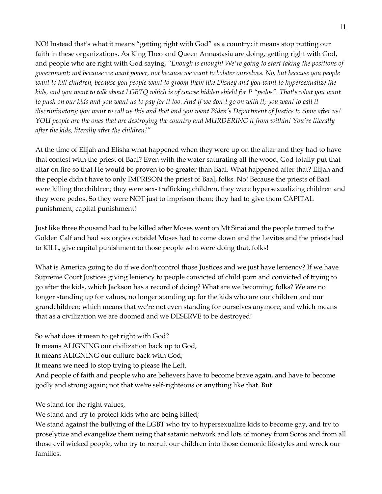NO! Instead that's what it means "getting right with God" as a country; it means stop putting our faith in these organizations. As King Theo and Queen Annastasia are doing, getting right with God, and people who are right with God saying, *"Enough is enough! We're going to start taking the positions of government; not because we want power, not because we want to bolster ourselves. No, but because you people want to kill children, because you people want to groom them like Disney and you want to hypersexualize the kids, and you want to talk about LGBTQ which is of course hidden shield for P "pedos". That's what you want to push on our kids and you want us to pay for it too. And if we don't go on with it, you want to call it discriminatory; you want to call us this and that and you want Biden's Department of Justice to come after us! YOU people are the ones that are destroying the country and MURDERING it from within! You're literally after the kids, literally after the children!"*

At the time of Elijah and Elisha what happened when they were up on the altar and they had to have that contest with the priest of Baal? Even with the water saturating all the wood, God totally put that altar on fire so that He would be proven to be greater than Baal. What happened after that? Elijah and the people didn't have to only IMPRISON the priest of Baal, folks. No! Because the priests of Baal were killing the children; they were sex- trafficking children, they were hypersexualizing children and they were pedos. So they were NOT just to imprison them; they had to give them CAPITAL punishment, capital punishment!

Just like three thousand had to be killed after Moses went on Mt Sinai and the people turned to the Golden Calf and had sex orgies outside! Moses had to come down and the Levites and the priests had to KILL, give capital punishment to those people who were doing that, folks!

What is America going to do if we don't control those Justices and we just have leniency? If we have Supreme Court Justices giving leniency to people convicted of child porn and convicted of trying to go after the kids, which Jackson has a record of doing? What are we becoming, folks? We are no longer standing up for values, no longer standing up for the kids who are our children and our grandchildren; which means that we're not even standing for ourselves anymore, and which means that as a civilization we are doomed and we DESERVE to be destroyed!

So what does it mean to get right with God?

It means ALIGNING our civilization back up to God,

It means ALIGNING our culture back with God;

It means we need to stop trying to please the Left.

And people of faith and people who are believers have to become brave again, and have to become godly and strong again; not that we're self-righteous or anything like that. But

We stand for the right values,

We stand and try to protect kids who are being killed;

We stand against the bullying of the LGBT who try to hypersexualize kids to become gay, and try to proselytize and evangelize them using that satanic network and lots of money from Soros and from all those evil wicked people, who try to recruit our children into those demonic lifestyles and wreck our families.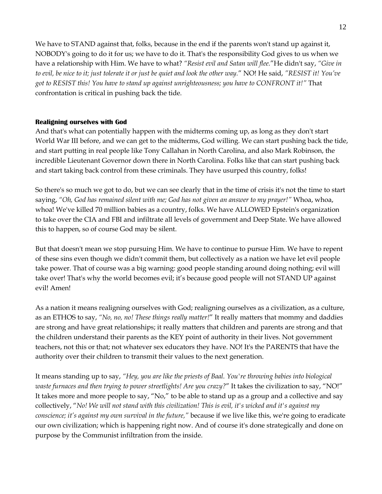We have to STAND against that, folks, because in the end if the parents won't stand up against it, NOBODY's going to do it for us; we have to do it. That's the responsibility God gives to us when we have a relationship with Him. We have to what? *"Resist evil and Satan will flee.*"He didn't say, *"Give in to evil, be nice to it; just tolerate it or just be quiet and look the other way.*" NO! He said, *"RESIST it! You've got to RESIST this! You have to stand up against unrighteousness; you have to CONFRONT it!"* That confrontation is critical in pushing back the tide.

## **Realigning ourselves with God**

And that's what can potentially happen with the midterms coming up, as long as they don't start World War III before, and we can get to the midterms, God willing. We can start pushing back the tide, and start putting in real people like Tony Callahan in North Carolina, and also Mark Robinson, the incredible Lieutenant Governor down there in North Carolina. Folks like that can start pushing back and start taking back control from these criminals. They have usurped this country, folks!

So there's so much we got to do, but we can see clearly that in the time of crisis it's not the time to start saying, *"Oh, God has remained silent with me; God has not given an answer to my prayer!"* Whoa, whoa, whoa! We've killed 70 million babies as a country, folks. We have ALLOWED Epstein's organization to take over the CIA and FBI and infiltrate all levels of government and Deep State. We have allowed this to happen, so of course God may be silent.

But that doesn't mean we stop pursuing Him. We have to continue to pursue Him. We have to repent of these sins even though we didn't commit them, but collectively as a nation we have let evil people take power. That of course was a big warning: good people standing around doing nothing; evil will take over! That's why the world becomes evil; it's because good people will not STAND UP against evil! Amen!

As a nation it means realigning ourselves with God; realigning ourselves as a civilization, as a culture, as an ETHOS to say, *"No, no, no! These things really matter!*" It really matters that mommy and daddies are strong and have great relationships; it really matters that children and parents are strong and that the children understand their parents as the KEY point of authority in their lives. Not government teachers, not this or that; not whatever sex educators they have. NO! It's the PARENTS that have the authority over their children to transmit their values to the next generation.

It means standing up to say, *"Hey, you are like the priests of Baal. You're throwing babies into biological waste furnaces and then trying to power streetlights! Are you crazy?*" It takes the civilization to say, "NO!" It takes more and more people to say, "No," to be able to stand up as a group and a collective and say collectively, "*No! We will not stand with this civilization! This is evil, it's wicked and it's against my conscience; it's against my own survival in the future,"* because if we live like this, we're going to eradicate our own civilization; which is happening right now. And of course it's done strategically and done on purpose by the Communist infiltration from the inside.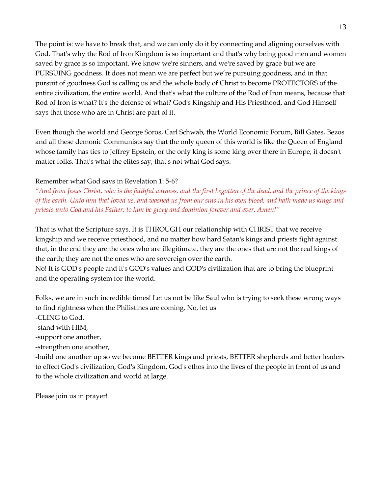The point is: we have to break that, and we can only do it by connecting and aligning ourselves with God. That's why the Rod of Iron Kingdom is so important and that's why being good men and women saved by grace is so important. We know we're sinners, and we're saved by grace but we are PURSUING goodness. It does not mean we are perfect but we're pursuing goodness, and in that pursuit of goodness God is calling us and the whole body of Christ to become PROTECTORS of the entire civilization, the entire world. And that's what the culture of the Rod of Iron means, because that Rod of Iron is what? It's the defense of what? God's Kingship and His Priesthood, and God Himself says that those who are in Christ are part of it.

Even though the world and George Soros, Carl Schwab, the World Economic Forum, Bill Gates, Bezos and all these demonic Communists say that the only queen of this world is like the Queen of England whose family has ties to Jeffrey Epstein, or the only king is some king over there in Europe, it doesn't matter folks. That's what the elites say; that's not what God says.

## Remember what God says in Revelation 1: 5-6?

*"And from Jesus Christ, who is the faithful witness, and the first begotten of the dead, and the prince of the kings of the earth. Unto him that loved us, and washed us from our sins in his own blood, and hath made us kings and priests unto God and his Father; to him be glory and dominion forever and ever. Amen!"*

That is what the Scripture says. It is THROUGH our relationship with CHRIST that we receive kingship and we receive priesthood, and no matter how hard Satan's kings and priests fight against that, in the end they are the ones who are illegitimate, they are the ones that are not the real kings of the earth; they are not the ones who are sovereign over the earth.

No! It is GOD's people and it's GOD's values and GOD's civilization that are to bring the blueprint and the operating system for the world.

Folks, we are in such incredible times! Let us not be like Saul who is trying to seek these wrong ways to find rightness when the Philistines are coming. No, let us

-CLING to God,

-stand with HIM,

-support one another,

-strengthen one another,

-build one another up so we become BETTER kings and priests, BETTER shepherds and better leaders to effect God's civilization, God's Kingdom, God's ethos into the lives of the people in front of us and to the whole civilization and world at large.

Please join us in prayer!